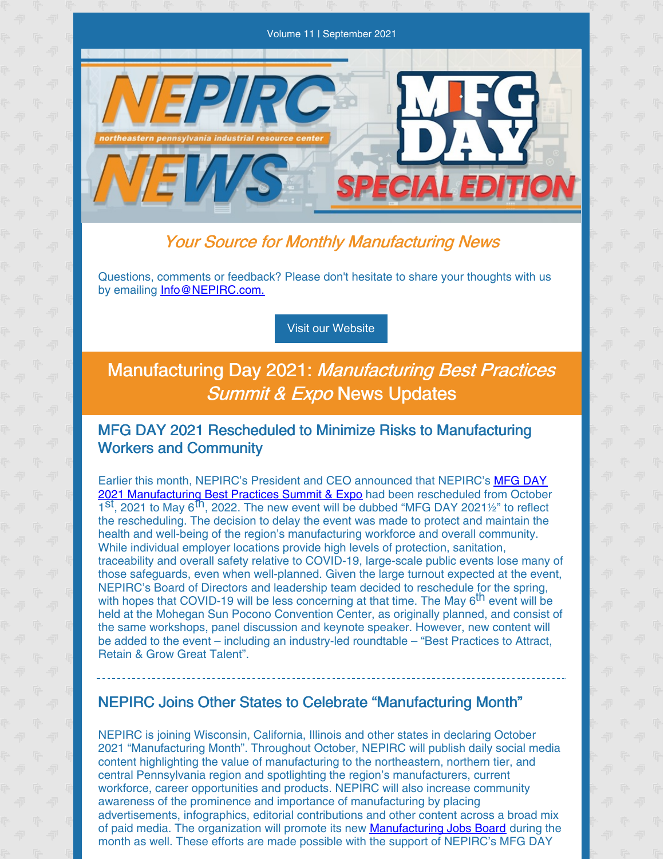

# Your Source for Monthly Manufacturing News

Questions, comments or feedback? Please don't hesitate to share your thoughts with us by emailing [Info@NEPIRC.com.](mailto:info@nepirc.com)

#### Visit our [Website](http://www.nepirc.com)

# Manufacturing Day 2021: Manufacturing Best Practices Summit & Expo News Updates

## MFG DAY 2021 Rescheduled to Minimize Risks to Manufacturing Workers and Community

Earlier this month, NEPIRC's President and CEO announced that NEPIRC's MFG DAY 2021 [Manufacturing](https://nepirc.com/manufacturing-day-2021/#:~:text=NEPIRC is excited to once,Beurle%2C CEO of Future iQ.) Best Practices Summit & Expo had been rescheduled from October 1<sup>st</sup>, 2021 to May 6<sup>th</sup>, 2022. The new event will be dubbed "MFG DAY 2021<sup>1</sup>/2" to reflect the rescheduling. The decision to delay the event was made to protect and maintain the health and well-being of the region's manufacturing workforce and overall community. While individual employer locations provide high levels of protection, sanitation, traceability and overall safety relative to COVID-19, large-scale public events lose many of those safeguards, even when well-planned. Given the large turnout expected at the event, NEPIRC's Board of Directors and leadership team decided to reschedule for the spring, with hopes that COVID-19 will be less concerning at that time. The May 6<sup>th</sup> event will be held at the Mohegan Sun Pocono Convention Center, as originally planned, and consist of the same workshops, panel discussion and keynote speaker. However, new content will be added to the event – including an industry-led roundtable – "Best Practices to Attract, Retain & Grow Great Talent".

### NEPIRC Joins Other States to Celebrate "Manufacturing Month"

NEPIRC is joining Wisconsin, California, Illinois and other states in declaring October 2021 "Manufacturing Month". Throughout October, NEPIRC will publish daily social media content highlighting the value of manufacturing to the northeastern, northern tier, and central Pennsylvania region and spotlighting the region's manufacturers, current workforce, career opportunities and products. NEPIRC will also increase community awareness of the prominence and importance of manufacturing by placing advertisements, infographics, editorial contributions and other content across a broad mix of paid media. The organization will promote its new [Manufacturing](https://nepirc.com/manufacturingjobs/) Jobs Board during the month as well. These efforts are made possible with the support of NEPIRC's MFG DAY